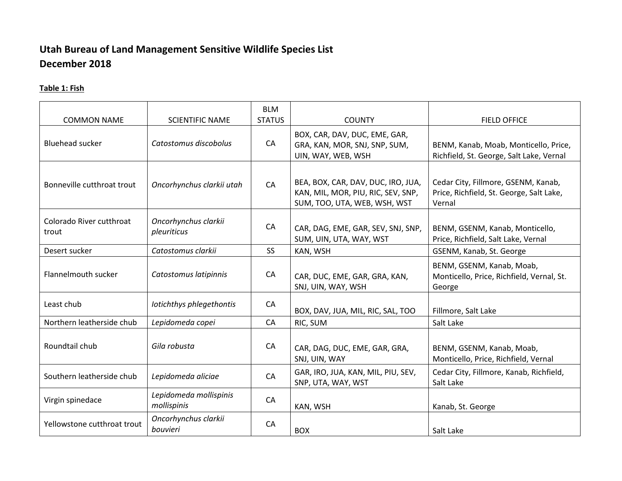# **Utah Bureau of Land Management Sensitive Wildlife Species List December 2018**

## **Table 1: Fish**

| <b>COMMON NAME</b>                | <b>SCIENTIFIC NAME</b>                | <b>BLM</b><br><b>STATUS</b> | <b>COUNTY</b>                                                                                            | <b>FIELD OFFICE</b>                                                                       |
|-----------------------------------|---------------------------------------|-----------------------------|----------------------------------------------------------------------------------------------------------|-------------------------------------------------------------------------------------------|
| <b>Bluehead sucker</b>            | Catostomus discobolus                 | CA                          | BOX, CAR, DAV, DUC, EME, GAR,<br>GRA, KAN, MOR, SNJ, SNP, SUM,<br>UIN, WAY, WEB, WSH                     | BENM, Kanab, Moab, Monticello, Price,<br>Richfield, St. George, Salt Lake, Vernal         |
| Bonneville cutthroat trout        | Oncorhynchus clarkii utah             | CA                          | BEA, BOX, CAR, DAV, DUC, IRO, JUA,<br>KAN, MIL, MOR, PIU, RIC, SEV, SNP,<br>SUM, TOO, UTA, WEB, WSH, WST | Cedar City, Fillmore, GSENM, Kanab,<br>Price, Richfield, St. George, Salt Lake,<br>Vernal |
| Colorado River cutthroat<br>trout | Oncorhynchus clarkii<br>pleuriticus   | CA                          | CAR, DAG, EME, GAR, SEV, SNJ, SNP,<br>SUM, UIN, UTA, WAY, WST                                            | BENM, GSENM, Kanab, Monticello,<br>Price, Richfield, Salt Lake, Vernal                    |
| Desert sucker                     | Catostomus clarkii                    | <b>SS</b>                   | KAN, WSH                                                                                                 | GSENM, Kanab, St. George                                                                  |
| Flannelmouth sucker               | Catostomus latipinnis                 | CA                          | CAR, DUC, EME, GAR, GRA, KAN,<br>SNJ, UIN, WAY, WSH                                                      | BENM, GSENM, Kanab, Moab,<br>Monticello, Price, Richfield, Vernal, St.<br>George          |
| Least chub                        | Iotichthys phlegethontis              | CA                          | BOX, DAV, JUA, MIL, RIC, SAL, TOO                                                                        | Fillmore, Salt Lake                                                                       |
| Northern leatherside chub         | Lepidomeda copei                      | CA                          | RIC, SUM                                                                                                 | Salt Lake                                                                                 |
| Roundtail chub                    | Gila robusta                          | CA                          | CAR, DAG, DUC, EME, GAR, GRA,<br>SNJ, UIN, WAY                                                           | BENM, GSENM, Kanab, Moab,<br>Monticello, Price, Richfield, Vernal                         |
| Southern leatherside chub         | Lepidomeda aliciae                    | CA                          | GAR, IRO, JUA, KAN, MIL, PIU, SEV,<br>SNP, UTA, WAY, WST                                                 | Cedar City, Fillmore, Kanab, Richfield,<br>Salt Lake                                      |
| Virgin spinedace                  | Lepidomeda mollispinis<br>mollispinis | CA                          | KAN, WSH                                                                                                 | Kanab, St. George                                                                         |
| Yellowstone cutthroat trout       | Oncorhynchus clarkii<br>bouvieri      | CA                          | <b>BOX</b>                                                                                               | Salt Lake                                                                                 |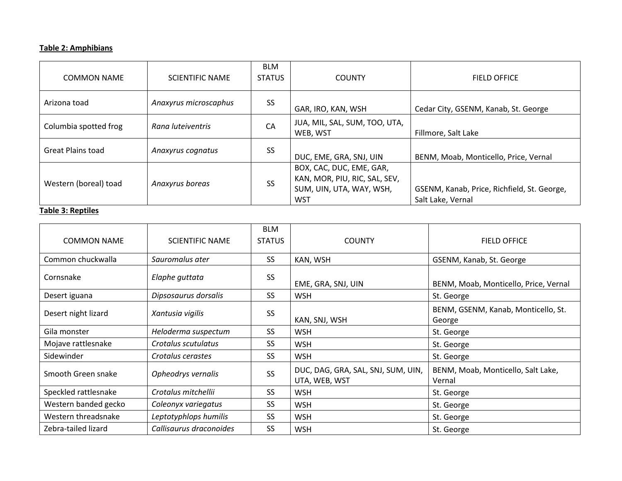### **Table 2: Amphibians**

| <b>COMMON NAME</b>       | <b>SCIENTIFIC NAME</b> | <b>BLM</b><br><b>STATUS</b> | <b>COUNTY</b>                                                                                       | <b>FIELD OFFICE</b>                                              |
|--------------------------|------------------------|-----------------------------|-----------------------------------------------------------------------------------------------------|------------------------------------------------------------------|
| Arizona toad             | Anaxyrus microscaphus  | SS                          | GAR, IRO, KAN, WSH                                                                                  | Cedar City, GSENM, Kanab, St. George                             |
| Columbia spotted frog    | Rana luteiventris      | CA                          | JUA, MIL, SAL, SUM, TOO, UTA,<br>WEB, WST                                                           | Fillmore, Salt Lake                                              |
| <b>Great Plains toad</b> | Anaxyrus cognatus      | <b>SS</b>                   | DUC, EME, GRA, SNJ, UIN                                                                             | BENM, Moab, Monticello, Price, Vernal                            |
| Western (boreal) toad    | Anaxyrus boreas        | <b>SS</b>                   | BOX, CAC, DUC, EME, GAR,<br>KAN, MOR, PIU, RIC, SAL, SEV,<br>SUM, UIN, UTA, WAY, WSH,<br><b>WST</b> | GSENM, Kanab, Price, Richfield, St. George,<br>Salt Lake, Vernal |

### **Table 3: Reptiles**

| <b>COMMON NAME</b>   | <b>SCIENTIFIC NAME</b>  | <b>BLM</b><br><b>STATUS</b> | <b>COUNTY</b>                                       | <b>FIELD OFFICE</b>                           |
|----------------------|-------------------------|-----------------------------|-----------------------------------------------------|-----------------------------------------------|
| Common chuckwalla    | Sauromalus ater         | <b>SS</b>                   | KAN, WSH                                            | GSENM, Kanab, St. George                      |
| Cornsnake            | Elaphe guttata          | <b>SS</b>                   | EME, GRA, SNJ, UIN                                  | BENM, Moab, Monticello, Price, Vernal         |
| Desert iguana        | Dipsosaurus dorsalis    | <b>SS</b>                   | <b>WSH</b>                                          | St. George                                    |
| Desert night lizard  | Xantusia vigilis        | SS                          | KAN, SNJ, WSH                                       | BENM, GSENM, Kanab, Monticello, St.<br>George |
| Gila monster         | Heloderma suspectum     | SS.                         | <b>WSH</b>                                          | St. George                                    |
| Mojave rattlesnake   | Crotalus scutulatus     | SS.                         | <b>WSH</b>                                          | St. George                                    |
| Sidewinder           | Crotalus cerastes       | SS.                         | <b>WSH</b>                                          | St. George                                    |
| Smooth Green snake   | Opheodrys vernalis      | <b>SS</b>                   | DUC, DAG, GRA, SAL, SNJ, SUM, UIN,<br>UTA, WEB, WST | BENM, Moab, Monticello, Salt Lake,<br>Vernal  |
| Speckled rattlesnake | Crotalus mitchellii     | SS.                         | <b>WSH</b>                                          | St. George                                    |
| Western banded gecko | Coleonyx variegatus     | SS.                         | <b>WSH</b>                                          | St. George                                    |
| Western threadsnake  | Leptotyphlops humilis   | <b>SS</b>                   | <b>WSH</b>                                          | St. George                                    |
| Zebra-tailed lizard  | Callisaurus draconoides | SS                          | <b>WSH</b>                                          | St. George                                    |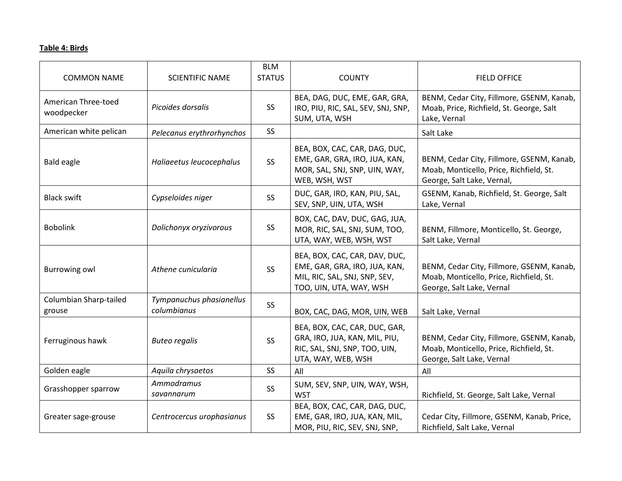### **Table 4: Birds**

| <b>COMMON NAME</b>                | <b>SCIENTIFIC NAME</b>                  | <b>BLM</b><br><b>STATUS</b> | <b>COUNTY</b>                                                                                                              | <b>FIELD OFFICE</b>                                                                                                |
|-----------------------------------|-----------------------------------------|-----------------------------|----------------------------------------------------------------------------------------------------------------------------|--------------------------------------------------------------------------------------------------------------------|
| American Three-toed<br>woodpecker | Picoides dorsalis                       | SS <sub>1</sub>             | BEA, DAG, DUC, EME, GAR, GRA,<br>IRO, PIU, RIC, SAL, SEV, SNJ, SNP,<br>SUM, UTA, WSH                                       | BENM, Cedar City, Fillmore, GSENM, Kanab,<br>Moab, Price, Richfield, St. George, Salt<br>Lake, Vernal              |
| American white pelican            | Pelecanus erythrorhynchos               | <b>SS</b>                   |                                                                                                                            | Salt Lake                                                                                                          |
| <b>Bald eagle</b>                 | Haliaeetus leucocephalus                | SS <sub>1</sub>             | BEA, BOX, CAC, CAR, DAG, DUC,<br>EME, GAR, GRA, IRO, JUA, KAN,<br>MOR, SAL, SNJ, SNP, UIN, WAY,<br>WEB, WSH, WST           | BENM, Cedar City, Fillmore, GSENM, Kanab,<br>Moab, Monticello, Price, Richfield, St.<br>George, Salt Lake, Vernal, |
| <b>Black swift</b>                | Cypseloides niger                       | SS                          | DUC, GAR, IRO, KAN, PIU, SAL,<br>SEV, SNP, UIN, UTA, WSH                                                                   | GSENM, Kanab, Richfield, St. George, Salt<br>Lake, Vernal                                                          |
| <b>Bobolink</b>                   | Dolichonyx oryzivorous                  | SS                          | BOX, CAC, DAV, DUC, GAG, JUA,<br>MOR, RIC, SAL, SNJ, SUM, TOO,<br>UTA, WAY, WEB, WSH, WST                                  | BENM, Fillmore, Monticello, St. George,<br>Salt Lake, Vernal                                                       |
| <b>Burrowing owl</b>              | Athene cunicularia                      | SS                          | BEA, BOX, CAC, CAR, DAV, DUC,<br>EME, GAR, GRA, IRO, JUA, KAN,<br>MIL, RIC, SAL, SNJ, SNP, SEV,<br>TOO, UIN, UTA, WAY, WSH | BENM, Cedar City, Fillmore, GSENM, Kanab,<br>Moab, Monticello, Price, Richfield, St.<br>George, Salt Lake, Vernal  |
| Columbian Sharp-tailed<br>grouse  | Tympanuchus phasianellus<br>columbianus | SS                          | BOX, CAC, DAG, MOR, UIN, WEB                                                                                               | Salt Lake, Vernal                                                                                                  |
| Ferruginous hawk                  | <b>Buteo regalis</b>                    | SS                          | BEA, BOX, CAC, CAR, DUC, GAR,<br>GRA, IRO, JUA, KAN, MIL, PIU,<br>RIC, SAL, SNJ, SNP, TOO, UIN,<br>UTA, WAY, WEB, WSH      | BENM, Cedar City, Fillmore, GSENM, Kanab,<br>Moab, Monticello, Price, Richfield, St.<br>George, Salt Lake, Vernal  |
| Golden eagle                      | Aquila chrysaetos                       | <b>SS</b>                   | All                                                                                                                        | All                                                                                                                |
| Grasshopper sparrow               | Ammodramus<br>savannarum                | <b>SS</b>                   | SUM, SEV, SNP, UIN, WAY, WSH,<br><b>WST</b>                                                                                | Richfield, St. George, Salt Lake, Vernal                                                                           |
| Greater sage-grouse               | Centrocercus urophasianus               | SS <sub>1</sub>             | BEA, BOX, CAC, CAR, DAG, DUC,<br>EME, GAR, IRO, JUA, KAN, MIL,<br>MOR, PIU, RIC, SEV, SNJ, SNP,                            | Cedar City, Fillmore, GSENM, Kanab, Price,<br>Richfield, Salt Lake, Vernal                                         |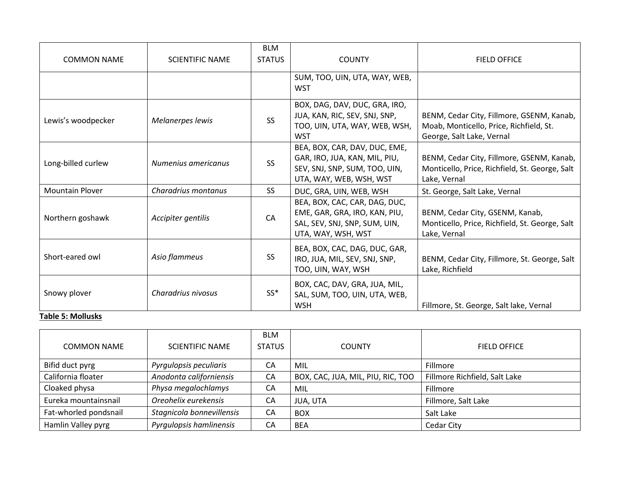| <b>COMMON NAME</b>     | <b>SCIENTIFIC NAME</b> | <b>BLM</b><br><b>STATUS</b> | <b>COUNTY</b>                                                                                                              | <b>FIELD OFFICE</b>                                                                                               |
|------------------------|------------------------|-----------------------------|----------------------------------------------------------------------------------------------------------------------------|-------------------------------------------------------------------------------------------------------------------|
|                        |                        |                             | SUM, TOO, UIN, UTA, WAY, WEB,<br><b>WST</b>                                                                                |                                                                                                                   |
| Lewis's woodpecker     | Melanerpes lewis       | <b>SS</b>                   | BOX, DAG, DAV, DUC, GRA, IRO,<br>JUA, KAN, RIC, SEV, SNJ, SNP,<br>TOO, UIN, UTA, WAY, WEB, WSH,<br><b>WST</b>              | BENM, Cedar City, Fillmore, GSENM, Kanab,<br>Moab, Monticello, Price, Richfield, St.<br>George, Salt Lake, Vernal |
| Long-billed curlew     | Numenius americanus    | <b>SS</b>                   | BEA, BOX, CAR, DAV, DUC, EME,<br>GAR, IRO, JUA, KAN, MIL, PIU,<br>SEV, SNJ, SNP, SUM, TOO, UIN,<br>UTA, WAY, WEB, WSH, WST | BENM, Cedar City, Fillmore, GSENM, Kanab,<br>Monticello, Price, Richfield, St. George, Salt<br>Lake, Vernal       |
| <b>Mountain Plover</b> | Charadrius montanus    | SS <sub>1</sub>             | DUC, GRA, UIN, WEB, WSH                                                                                                    | St. George, Salt Lake, Vernal                                                                                     |
| Northern goshawk       | Accipiter gentilis     | CA                          | BEA, BOX, CAC, CAR, DAG, DUC,<br>EME, GAR, GRA, IRO, KAN, PIU,<br>SAL, SEV, SNJ, SNP, SUM, UIN,<br>UTA, WAY, WSH, WST      | BENM, Cedar City, GSENM, Kanab,<br>Monticello, Price, Richfield, St. George, Salt<br>Lake, Vernal                 |
| Short-eared owl        | Asio flammeus          | <b>SS</b>                   | BEA, BOX, CAC, DAG, DUC, GAR,<br>IRO, JUA, MIL, SEV, SNJ, SNP,<br>TOO, UIN, WAY, WSH                                       | BENM, Cedar City, Fillmore, St. George, Salt<br>Lake, Richfield                                                   |
| Snowy plover           | Charadrius nivosus     | $SS^*$                      | BOX, CAC, DAV, GRA, JUA, MIL,<br>SAL, SUM, TOO, UIN, UTA, WEB,<br><b>WSH</b>                                               | Fillmore, St. George, Salt lake, Vernal                                                                           |

#### **Table 5: Mollusks**

| <b>COMMON NAME</b>    | <b>SCIENTIFIC NAME</b>    | <b>BLM</b><br><b>STATUS</b> | <b>COUNTY</b>                     | <b>FIELD OFFICE</b>           |
|-----------------------|---------------------------|-----------------------------|-----------------------------------|-------------------------------|
| Bifid duct pyrg       | Pyrgulopsis peculiaris    | СA                          | MIL                               | Fillmore                      |
| California floater    | Anodonta californiensis   | CA                          | BOX, CAC, JUA, MIL, PIU, RIC, TOO | Fillmore Richfield, Salt Lake |
| Cloaked physa         | Physa megalochlamys       | CA                          | MIL                               | Fillmore                      |
| Eureka mountainsnail  | Oreohelix eurekensis      | CA                          | JUA, UTA                          | Fillmore, Salt Lake           |
| Fat-whorled pondsnail | Stagnicola bonnevillensis | CA                          | <b>BOX</b>                        | Salt Lake                     |
| Hamlin Valley pyrg    | Pyrgulopsis hamlinensis   | CA                          | <b>BEA</b>                        | Cedar City                    |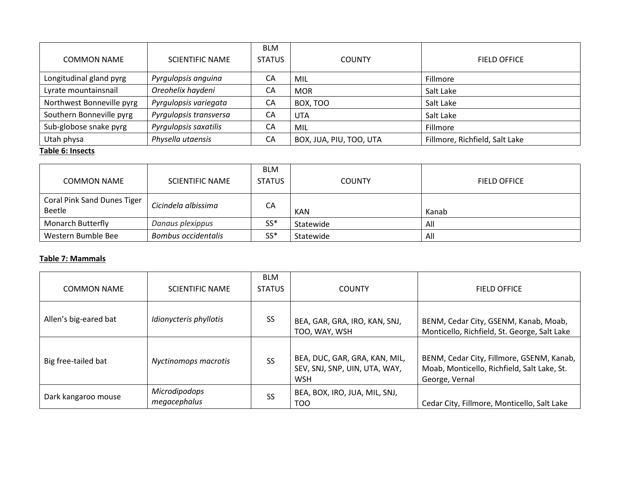| <b>COMMON NAME</b>        | <b>SCIENTIFIC NAME</b> | <b>BLM</b><br><b>STATUS</b> | <b>COUNTY</b>           | <b>FIELD OFFICE</b>            |
|---------------------------|------------------------|-----------------------------|-------------------------|--------------------------------|
| Longitudinal gland pyrg   | Pyrgulopsis anguina    | СA                          | MIL                     | Fillmore                       |
| Lyrate mountainsnail      | Oreohelix haydeni      | СA                          | <b>MOR</b>              | Salt Lake                      |
| Northwest Bonneville pyrg | Pyrgulopsis variegata  | CA                          | BOX, TOO                | Salt Lake                      |
| Southern Bonneville pyrg  | Pyrgulopsis transversa | СA                          | <b>UTA</b>              | Salt Lake                      |
| Sub-globose snake pyrg    | Pyrgulopsis saxatilis  | СA                          | MIL                     | Fillmore                       |
| Utah physa                | Physella utaensis      | CA                          | BOX, JUA, PIU, TOO, UTA | Fillmore, Richfield, Salt Lake |

#### **Table 6: Insects**

| <b>COMMON NAME</b>                    | <b>SCIENTIFIC NAME</b>     | <b>BLM</b><br><b>STATUS</b> | <b>COUNTY</b> | <b>FIELD OFFICE</b> |
|---------------------------------------|----------------------------|-----------------------------|---------------|---------------------|
| Coral Pink Sand Dunes Tiger<br>Beetle | Cicindela albissima        | CA                          | <b>KAN</b>    | Kanab               |
| <b>Monarch Butterfly</b>              | Danaus plexippus           | $SS*$                       | Statewide     | All                 |
| Western Bumble Bee                    | <b>Bombus occidentalis</b> | $SS*$                       | Statewide     | All                 |

#### **Table 7: Mammals**

| <b>COMMON NAME</b>    | <b>SCIENTIFIC NAME</b>        | <b>BLM</b><br><b>STATUS</b> | <b>COUNTY</b>                                                                | <b>FIELD OFFICE</b>                                                                                        |
|-----------------------|-------------------------------|-----------------------------|------------------------------------------------------------------------------|------------------------------------------------------------------------------------------------------------|
| Allen's big-eared bat | Idionycteris phyllotis        | SS                          | BEA, GAR, GRA, IRO, KAN, SNJ,<br>TOO, WAY, WSH                               | BENM, Cedar City, GSENM, Kanab, Moab,<br>Monticello, Richfield, St. George, Salt Lake                      |
| Big free-tailed bat   | Nyctinomops macrotis          | <b>SS</b>                   | BEA, DUC, GAR, GRA, KAN, MIL,<br>SEV, SNJ, SNP, UIN, UTA, WAY,<br><b>WSH</b> | BENM, Cedar City, Fillmore, GSENM, Kanab,<br>Moab, Monticello, Richfield, Salt Lake, St.<br>George, Vernal |
| Dark kangaroo mouse   | Microdipodops<br>megacephalus | SS                          | BEA, BOX, IRO, JUA, MIL, SNJ,<br>TOO                                         | Cedar City, Fillmore, Monticello, Salt Lake                                                                |